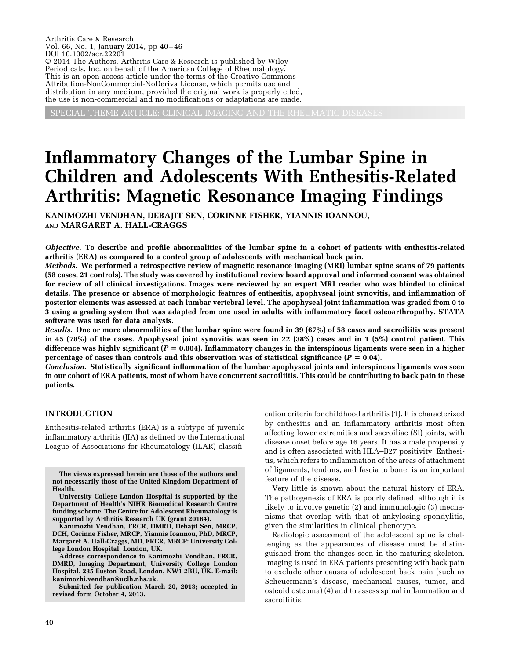Arthritis Care & Research Vol. 66, No. 1, January 2014, pp 40-46 DOI 10.1002/acr.22201 © 2014 The Authors. Arthritis Care & Research is published by Wiley Periodicals, Inc. on behalf of the American College of Rheumatology. This is an open access article under the terms of the Creative Commons Attribution-NonCommercial-NoDerivs License, which permits use and distribution in any medium, provided the original work is properly cited, the use is non-commercial and no modifications or adaptations are made.

SPECIAL THEME ARTICLE: CLINICAL IMAGING AND THE RHEUMATIC DISEASES

# **Inflammatory Changes of the Lumbar Spine in Children and Adolescents With Enthesitis-Related Arthritis: Magnetic Resonance Imaging Findings**

**KANIMOZHI VENDHAN, DEBAJIT SEN, CORINNE FISHER, YIANNIS IOANNOU, AND MARGARET A. HALL-CRAGGS**

*Objective.* **To describe and profile abnormalities of the lumbar spine in a cohort of patients with enthesitis-related arthritis (ERA) as compared to a control group of adolescents with mechanical back pain.**

*Methods.* **We performed a retrospective review of magnetic resonance imaging (MRI) lumbar spine scans of 79 patients (58 cases, 21 controls). The study was covered by institutional review board approval and informed consent was obtained for review of all clinical investigations. Images were reviewed by an expert MRI reader who was blinded to clinical details. The presence or absence of morphologic features of enthesitis, apophyseal joint synovitis, and inflammation of posterior elements was assessed at each lumbar vertebral level. The apophyseal joint inflammation was graded from 0 to 3 using a grading system that was adapted from one used in adults with inflammatory facet osteoarthropathy. STATA software was used for data analysis.**

*Results.* **One or more abnormalities of the lumbar spine were found in 39 (67%) of 58 cases and sacroiliitis was present in 45 (78%) of the cases. Apophyseal joint synovitis was seen in 22 (38%) cases and in 1 (5%) control patient. This** difference was highly significant  $(P = 0.004)$ . Inflammatory changes in the interspinous ligaments were seen in a higher **percentage of cases than controls and this observation was of statistical significance**  $(P = 0.04)$ **.** 

*Conclusion.* **Statistically significant inflammation of the lumbar apophyseal joints and interspinous ligaments was seen in our cohort of ERA patients, most of whom have concurrent sacroiliitis. This could be contributing to back pain in these patients.**

#### **INTRODUCTION**

Enthesitis-related arthritis (ERA) is a subtype of juvenile inflammatory arthritis (JIA) as defined by the International League of Associations for Rheumatology (ILAR) classifi-

**The views expressed herein are those of the authors and not necessarily those of the United Kingdom Department of Health.**

**University College London Hospital is supported by the Department of Health's NIHR Biomedical Research Centre funding scheme. The Centre for Adolescent Rheumatology is supported by Arthritis Research UK (grant 20164).**

**Kanimozhi Vendhan, FRCR, DMRD, Debajit Sen, MRCP, DCH, Corinne Fisher, MRCP, Yiannis Ioannou, PhD, MRCP, Margaret A. Hall-Craggs, MD, FRCR, MRCP: University College London Hospital, London, UK.**

**Address correspondence to Kanimozhi Vendhan, FRCR, DMRD, Imaging Department, University College London Hospital, 235 Euston Road, London, NW1 2BU, UK. E-mail: kanimozhi.vendhan@uclh.nhs.uk.**

**Submitted for publication March 20, 2013; accepted in revised form October 4, 2013.**

cation criteria for childhood arthritis (1). It is characterized by enthesitis and an inflammatory arthritis most often affecting lower extremities and sacroiliac (SI) joints, with disease onset before age 16 years. It has a male propensity and is often associated with HLA–B27 positivity. Enthesitis, which refers to inflammation of the areas of attachment of ligaments, tendons, and fascia to bone, is an important feature of the disease.

Very little is known about the natural history of ERA. The pathogenesis of ERA is poorly defined, although it is likely to involve genetic (2) and immunologic (3) mechanisms that overlap with that of ankylosing spondylitis, given the similarities in clinical phenotype.

Radiologic assessment of the adolescent spine is challenging as the appearances of disease must be distinguished from the changes seen in the maturing skeleton. Imaging is used in ERA patients presenting with back pain to exclude other causes of adolescent back pain (such as Scheuermann's disease, mechanical causes, tumor, and osteoid osteoma) (4) and to assess spinal inflammation and sacroiliitis.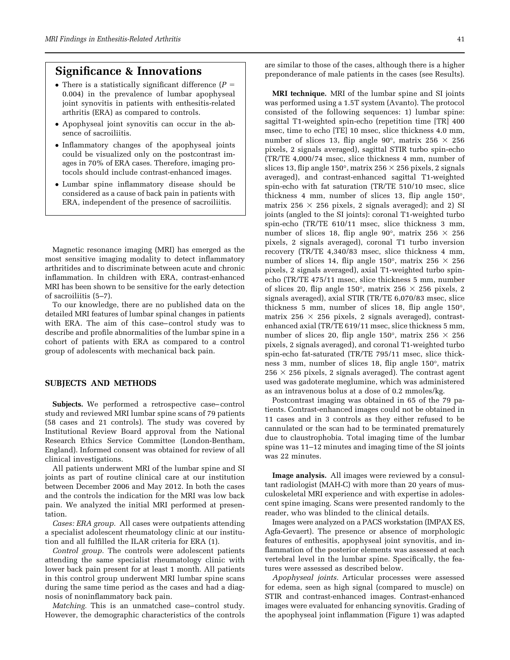## **Significance & Innovations**

- There is a statistically significant difference  $(P =$ 0.004) in the prevalence of lumbar apophyseal joint synovitis in patients with enthesitis-related arthritis (ERA) as compared to controls.
- Apophyseal joint synovitis can occur in the absence of sacroiliitis.
- Inflammatory changes of the apophyseal joints could be visualized only on the postcontrast images in 70% of ERA cases. Therefore, imaging protocols should include contrast-enhanced images.
- Lumbar spine inflammatory disease should be considered as a cause of back pain in patients with ERA, independent of the presence of sacroiliitis.

Magnetic resonance imaging (MRI) has emerged as the most sensitive imaging modality to detect inflammatory arthritides and to discriminate between acute and chronic inflammation. In children with ERA, contrast-enhanced MRI has been shown to be sensitive for the early detection of sacroiliitis (5–7).

To our knowledge, there are no published data on the detailed MRI features of lumbar spinal changes in patients with ERA. The aim of this case– control study was to describe and profile abnormalities of the lumbar spine in a cohort of patients with ERA as compared to a control group of adolescents with mechanical back pain.

### **SUBJECTS AND METHODS**

**Subjects.** We performed a retrospective case–control study and reviewed MRI lumbar spine scans of 79 patients (58 cases and 21 controls). The study was covered by Institutional Review Board approval from the National Research Ethics Service Committee (London-Bentham, England). Informed consent was obtained for review of all clinical investigations.

All patients underwent MRI of the lumbar spine and SI joints as part of routine clinical care at our institution between December 2006 and May 2012. In both the cases and the controls the indication for the MRI was low back pain. We analyzed the initial MRI performed at presentation.

*Cases: ERA group.* All cases were outpatients attending a specialist adolescent rheumatology clinic at our institution and all fulfilled the ILAR criteria for ERA (1).

*Control group.* The controls were adolescent patients attending the same specialist rheumatology clinic with lower back pain present for at least 1 month. All patients in this control group underwent MRI lumbar spine scans during the same time period as the cases and had a diagnosis of noninflammatory back pain.

*Matching.* This is an unmatched case– control study. However, the demographic characteristics of the controls are similar to those of the cases, although there is a higher preponderance of male patients in the cases (see Results).

**MRI technique.** MRI of the lumbar spine and SI joints was performed using a 1.5T system (Avanto). The protocol consisted of the following sequences: 1) lumbar spine: sagittal T1-weighted spin-echo (repetition time [TR] 400 msec, time to echo [TE] 10 msec, slice thickness 4.0 mm, number of slices 13, flip angle 90°, matrix 256  $\times$  256 pixels, 2 signals averaged), sagittal STIR turbo spin-echo (TR/TE 4,000/74 msec, slice thickness 4 mm, number of slices 13, flip angle 150°, matrix 256  $\times$  256 pixels, 2 signals averaged), and contrast-enhanced sagittal T1-weighted spin-echo with fat saturation (TR/TE 510/10 msec, slice thickness 4 mm, number of slices 13, flip angle 150°, matrix 256  $\times$  256 pixels, 2 signals averaged); and 2) SI joints (angled to the SI joints): coronal T1-weighted turbo spin-echo (TR/TE 610/11 msec, slice thickness 3 mm, number of slices 18, flip angle 90 $^{\circ}$ , matrix 256  $\times$  256 pixels, 2 signals averaged), coronal T1 turbo inversion recovery (TR/TE 4,340/83 msec, slice thickness 4 mm, number of slices 14, flip angle 150°, matrix 256  $\times$  256 pixels, 2 signals averaged), axial T1-weighted turbo spinecho (TR/TE 475/11 msec, slice thickness 5 mm, number of slices 20, flip angle 150°, matrix 256  $\times$  256 pixels, 2 signals averaged), axial STIR (TR/TE 6,070/83 msec, slice thickness 5 mm, number of slices 18, flip angle 150°, matrix 256  $\times$  256 pixels, 2 signals averaged), contrastenhanced axial (TR/TE 619/11 msec, slice thickness 5 mm, number of slices 20, flip angle 150°, matrix 256  $\times$  256 pixels, 2 signals averaged), and coronal T1-weighted turbo spin-echo fat-saturated (TR/TE 795/11 msec, slice thickness 3 mm, number of slices 18, flip angle 150°, matrix  $256 \times 256$  pixels, 2 signals averaged). The contrast agent used was gadoterate meglumine, which was administered as an intravenous bolus at a dose of 0.2 mmoles/kg.

Postcontrast imaging was obtained in 65 of the 79 patients. Contrast-enhanced images could not be obtained in 11 cases and in 3 controls as they either refused to be cannulated or the scan had to be terminated prematurely due to claustrophobia. Total imaging time of the lumbar spine was 11–12 minutes and imaging time of the SI joints was 22 minutes.

**Image analysis.** All images were reviewed by a consultant radiologist (MAH-C) with more than 20 years of musculoskeletal MRI experience and with expertise in adolescent spine imaging. Scans were presented randomly to the reader, who was blinded to the clinical details.

Images were analyzed on a PACS workstation (IMPAX ES, Agfa-Gevaert). The presence or absence of morphologic features of enthesitis, apophyseal joint synovitis, and inflammation of the posterior elements was assessed at each vertebral level in the lumbar spine. Specifically, the features were assessed as described below.

*Apophyseal joints.* Articular processes were assessed for edema, seen as high signal (compared to muscle) on STIR and contrast-enhanced images. Contrast-enhanced images were evaluated for enhancing synovitis. Grading of the apophyseal joint inflammation (Figure 1) was adapted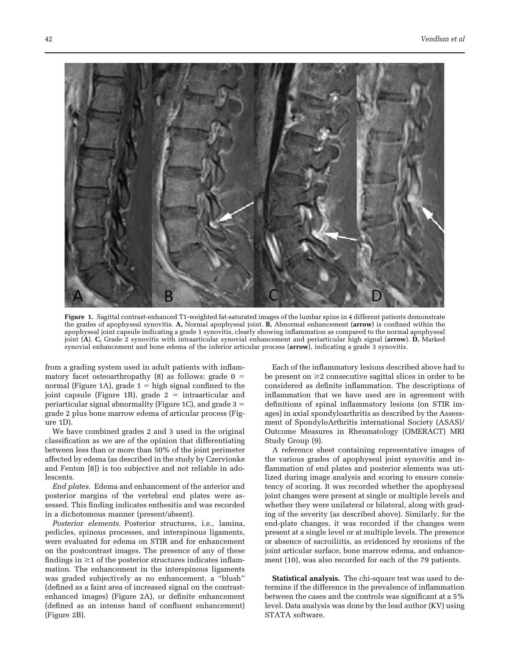

**Figure 1.** Sagittal contrast-enhanced T1-weighted fat-saturated images of the lumbar spine in 4 different patients demonstrate the grades of apophyseal synovitis. **A,** Normal apophyseal joint. **B,** Abnormal enhancement (**arrow**) is confined within the apophyseal joint capsule indicating a grade 1 synovitis, clearly showing inflammation as compared to the normal apophyseal joint (**A**). **C,** Grade 2 synovitis with intraarticular synovial enhancement and periarticular high signal (**arrow**). **D,** Marked synovial enhancement and bone edema of the inferior articular process (**arrow**), indicating a grade 3 synovitis.

from a grading system used in adult patients with inflammatory facet osteoarthropathy (8) as follows: grade 0 = normal (Figure 1A), grade 1 = high signal confined to the joint capsule (Figure 1B), grade 2 = intraarticular and periarticular signal abnormality (Figure 1C), and grade 3  $\,$   $=$ grade 2 plus bone marrow edema of articular process (Figure 1D).

We have combined grades 2 and 3 used in the original classification as we are of the opinion that differentiating between less than or more than 50% of the joint perimeter affected by edema (as described in the study by Czervionke and Fenton [8]) is too subjective and not reliable in adolescents.

*End plates.* Edema and enhancement of the anterior and posterior margins of the vertebral end plates were assessed. This finding indicates enthesitis and was recorded in a dichotomous manner (present/absent).

*Posterior elements.* Posterior structures, i.e., lamina, pedicles, spinous processes, and interspinous ligaments, were evaluated for edema on STIR and for enhancement on the postcontrast images. The presence of any of these findings in  $\geq 1$  of the posterior structures indicates inflammation. The enhancement in the interspinous ligaments was graded subjectively as no enhancement, a "blush" (defined as a faint area of increased signal on the contrastenhanced images) (Figure 2A), or definite enhancement (defined as an intense band of confluent enhancement) (Figure 2B).

Each of the inflammatory lesions described above had to be present on  $\geq 2$  consecutive sagittal slices in order to be considered as definite inflammation. The descriptions of inflammation that we have used are in agreement with definitions of spinal inflammatory lesions (on STIR images) in axial spondyloarthritis as described by the Assessment of SpondyloArthritis international Society (ASAS)/ Outcome Measures in Rheumatology (OMERACT) MRI Study Group (9).

A reference sheet containing representative images of the various grades of apophyseal joint synovitis and inflammation of end plates and posterior elements was utilized during image analysis and scoring to ensure consistency of scoring. It was recorded whether the apophyseal joint changes were present at single or multiple levels and whether they were unilateral or bilateral, along with grading of the severity (as described above). Similarly, for the end-plate changes, it was recorded if the changes were present at a single level or at multiple levels. The presence or absence of sacroiliitis, as evidenced by erosions of the joint articular surface, bone marrow edema, and enhancement (10), was also recorded for each of the 79 patients.

**Statistical analysis.** The chi-square test was used to determine if the difference in the prevalence of inflammation between the cases and the controls was significant at a 5% level. Data analysis was done by the lead author (KV) using STATA software.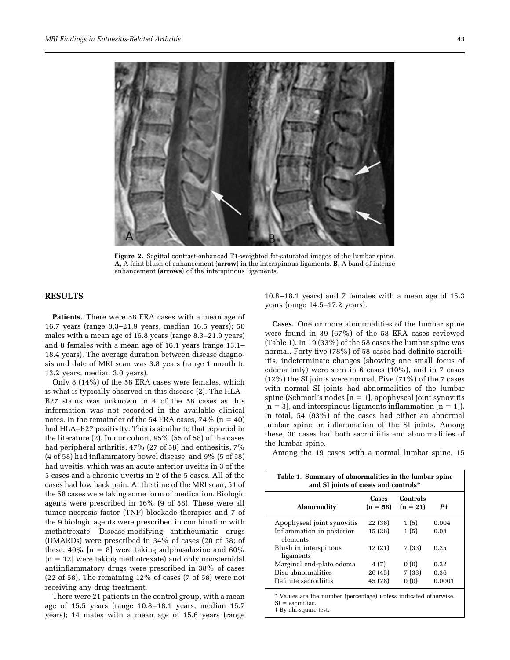

**Figure 2.** Sagittal contrast-enhanced T1-weighted fat-saturated images of the lumbar spine. **A,** A faint blush of enhancement (**arrow**) in the interspinous ligaments. **B,** A band of intense enhancement (**arrows**) of the interspinous ligaments.

#### **RESULTS**

**Patients.** There were 58 ERA cases with a mean age of 16.7 years (range 8.3–21.9 years, median 16.5 years); 50 males with a mean age of 16.8 years (range 8.3–21.9 years) and 8 females with a mean age of 16.1 years (range 13.1– 18.4 years). The average duration between disease diagnosis and date of MRI scan was 3.8 years (range 1 month to 13.2 years, median 3.0 years).

Only 8 (14%) of the 58 ERA cases were females, which is what is typically observed in this disease (2). The HLA– B27 status was unknown in 4 of the 58 cases as this information was not recorded in the available clinical notes. In the remainder of the 54 ERA cases, 74% (n = 40) had HLA–B27 positivity. This is similar to that reported in the literature (2). In our cohort, 95% (55 of 58) of the cases had peripheral arthritis, 47% (27 of 58) had enthesitis, 7% (4 of 58) had inflammatory bowel disease, and 9% (5 of 58) had uveitis, which was an acute anterior uveitis in 3 of the 5 cases and a chronic uveitis in 2 of the 5 cases. All of the cases had low back pain. At the time of the MRI scan, 51 of the 58 cases were taking some form of medication. Biologic agents were prescribed in 16% (9 of 58). These were all tumor necrosis factor (TNF) blockade therapies and 7 of the 9 biologic agents were prescribed in combination with methotrexate. Disease-modifying antirheumatic drugs (DMARDs) were prescribed in 34% of cases (20 of 58; of these, 40%  $[n = 8]$  were taking sulphasalazine and 60%  $[n = 12]$  were taking methotrexate) and only nonsteroidal antiinflammatory drugs were prescribed in 38% of cases (22 of 58). The remaining 12% of cases (7 of 58) were not receiving any drug treatment.

There were 21 patients in the control group, with a mean age of 15.5 years (range 10.8 –18.1 years, median 15.7 years); 14 males with a mean age of 15.6 years (range 10.8 –18.1 years) and 7 females with a mean age of 15.3 years (range 14.5–17.2 years).

**Cases.** One or more abnormalities of the lumbar spine were found in 39 (67%) of the 58 ERA cases reviewed (Table 1). In 19 (33%) of the 58 cases the lumbar spine was normal. Forty-five (78%) of 58 cases had definite sacroiliitis, indeterminate changes (showing one small focus of edema only) were seen in 6 cases (10%), and in 7 cases (12%) the SI joints were normal. Five (71%) of the 7 cases with normal SI joints had abnormalities of the lumbar  $spine$  (Schmorl's nodes  $[n = 1]$ , apophyseal joint synovitis  $[n = 3]$ , and interspinous ligaments inflammation  $[n = 1]$ ). In total, 54 (93%) of the cases had either an abnormal lumbar spine or inflammation of the SI joints. Among these, 30 cases had both sacroiliitis and abnormalities of the lumbar spine.

Among the 19 cases with a normal lumbar spine, 15

| Table 1. Summary of abnormalities in the lumbar spine<br>and SI joints of cases and controls* |                     |                               |                |  |  |  |
|-----------------------------------------------------------------------------------------------|---------------------|-------------------------------|----------------|--|--|--|
| <b>Abnormality</b>                                                                            | Cases<br>$(n = 58)$ | <b>Controls</b><br>$(n = 21)$ | P+             |  |  |  |
| Apophyseal joint synovitis<br>Inflammation in posterior<br>elements                           | 22 (38)<br>15(26)   | 1(5)<br>1(5)                  | 0.004<br>0.04  |  |  |  |
| Blush in interspinous<br>ligaments                                                            | 12(21)              | 7 (33)                        | 0.25           |  |  |  |
| Marginal end-plate edema                                                                      | 4(7)                | 0(0)                          | 0.22           |  |  |  |
| Disc abnormalities<br>Definite sacroiliitis                                                   | 26(45)<br>45 (78)   | 7(33)<br>0(0)                 | 0.36<br>0.0001 |  |  |  |

\* Values are the number (percentage) unless indicated otherwise. SI = sacroiliac.

† By chi-square test.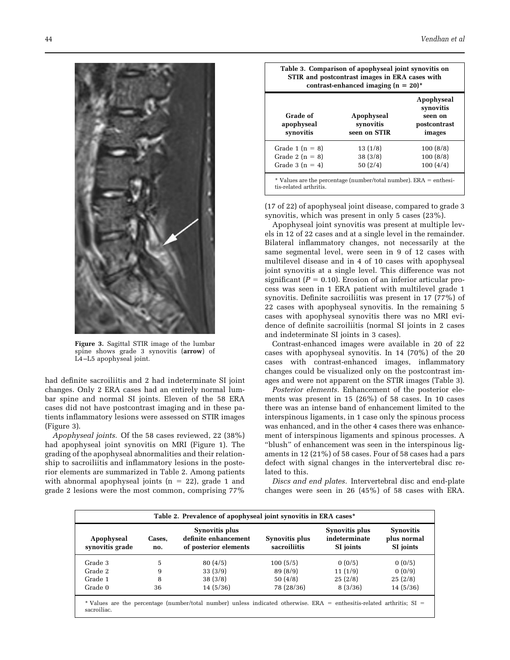

**Figure 3.** Sagittal STIR image of the lumbar spine shows grade 3 synovitis (**arrow**) of L4 –L5 apophyseal joint.

had definite sacroiliitis and 2 had indeterminate SI joint changes. Only 2 ERA cases had an entirely normal lumbar spine and normal SI joints. Eleven of the 58 ERA cases did not have postcontrast imaging and in these patients inflammatory lesions were assessed on STIR images (Figure 3).

*Apophyseal joints.* Of the 58 cases reviewed, 22 (38%) had apophyseal joint synovitis on MRI (Figure 1). The grading of the apophyseal abnormalities and their relationship to sacroiliitis and inflammatory lesions in the posterior elements are summarized in Table 2. Among patients with abnormal apophyseal joints ( $n = 22$ ), grade 1 and grade 2 lesions were the most common, comprising 77%

| Table 3. Comparison of apophyseal joint synovitis on |
|------------------------------------------------------|
| STIR and postcontrast images in ERA cases with       |
| contrast-enhanced imaging $(n = 20)^*$               |

| Grade of<br>apophyseal<br>synovitis                                                         | Apophyseal<br>synovitis<br>seen on STIR | Apophyseal<br>synovitis<br>seen on<br>postcontrast<br>images |  |  |  |
|---------------------------------------------------------------------------------------------|-----------------------------------------|--------------------------------------------------------------|--|--|--|
| Grade $1(n = 8)$                                                                            | 13(1/8)                                 | 100(8/8)                                                     |  |  |  |
| Grade 2 $(n = 8)$                                                                           | 38(3/8)                                 | 100(8/8)                                                     |  |  |  |
| Grade $3(n = 4)$                                                                            | 50(2/4)                                 | 100(4/4)                                                     |  |  |  |
| * Values are the percentage (number/total number). ERA = enthesi-<br>tis-related arthritis. |                                         |                                                              |  |  |  |

(17 of 22) of apophyseal joint disease, compared to grade 3 synovitis, which was present in only 5 cases (23%).

Apophyseal joint synovitis was present at multiple levels in 12 of 22 cases and at a single level in the remainder. Bilateral inflammatory changes, not necessarily at the same segmental level, were seen in 9 of 12 cases with multilevel disease and in 4 of 10 cases with apophyseal joint synovitis at a single level. This difference was not significant ( $P = 0.10$ ). Erosion of an inferior articular process was seen in 1 ERA patient with multilevel grade 1 synovitis. Definite sacroiliitis was present in 17 (77%) of 22 cases with apophyseal synovitis. In the remaining 5 cases with apophyseal synovitis there was no MRI evidence of definite sacroiliitis (normal SI joints in 2 cases and indeterminate SI joints in 3 cases).

Contrast-enhanced images were available in 20 of 22 cases with apophyseal synovitis. In 14 (70%) of the 20 cases with contrast-enhanced images, inflammatory changes could be visualized only on the postcontrast images and were not apparent on the STIR images (Table 3).

*Posterior elements.* Enhancement of the posterior elements was present in 15 (26%) of 58 cases. In 10 cases there was an intense band of enhancement limited to the interspinous ligaments, in 1 case only the spinous process was enhanced, and in the other 4 cases there was enhancement of interspinous ligaments and spinous processes. A "blush" of enhancement was seen in the interspinous ligaments in 12 (21%) of 58 cases. Four of 58 cases had a pars defect with signal changes in the intervertebral disc related to this.

*Discs and end plates.* Intervertebral disc and end-plate changes were seen in 26 (45%) of 58 cases with ERA.

| Table 2. Prevalence of apophyseal joint synovitis in ERA cases*                                                                       |               |                                                                 |                                |                                              |                                              |  |
|---------------------------------------------------------------------------------------------------------------------------------------|---------------|-----------------------------------------------------------------|--------------------------------|----------------------------------------------|----------------------------------------------|--|
| Apophyseal<br>synovitis grade                                                                                                         | Cases.<br>no. | Synovitis plus<br>definite enhancement<br>of posterior elements | Synovitis plus<br>sacroiliitis | Synovitis plus<br>indeterminate<br>SI joints | <b>Synovitis</b><br>plus normal<br>SI joints |  |
| Grade 3                                                                                                                               | 5             | 80(4/5)                                                         | 100(5/5)                       | 0(0/5)                                       | 0(0/5)                                       |  |
| Grade 2                                                                                                                               | 9             | 33(3/9)                                                         | 89(8/9)                        | 11(1/9)                                      | 0(0/9)                                       |  |
| Grade 1                                                                                                                               | 8             | 38(3/8)                                                         | 50(4/8)                        | 25(2/8)                                      | 25(2/8)                                      |  |
| Grade 0                                                                                                                               | 36            | 14(5/36)                                                        | 78 (28/36)                     | 8(3/36)                                      | 14(5/36)                                     |  |
| * Values are the percentage (number/total number) unless indicated otherwise. ERA = enthesitis-related arthritis; SI =<br>sacroiliac. |               |                                                                 |                                |                                              |                                              |  |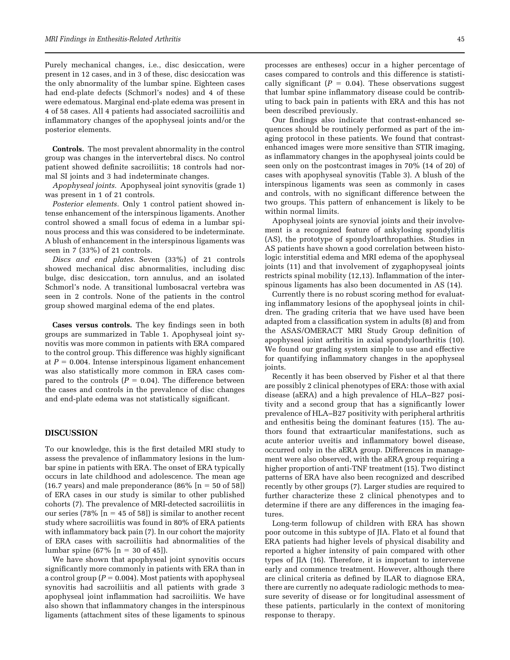Purely mechanical changes, i.e., disc desiccation, were present in 12 cases, and in 3 of these, disc desiccation was the only abnormality of the lumbar spine. Eighteen cases had end-plate defects (Schmorl's nodes) and 4 of these were edematous. Marginal end-plate edema was present in 4 of 58 cases. All 4 patients had associated sacroiliitis and inflammatory changes of the apophyseal joints and/or the posterior elements.

**Controls.** The most prevalent abnormality in the control group was changes in the intervertebral discs. No control patient showed definite sacroiliitis; 18 controls had normal SI joints and 3 had indeterminate changes.

*Apophyseal joints.* Apophyseal joint synovitis (grade 1) was present in 1 of 21 controls.

*Posterior elements.* Only 1 control patient showed intense enhancement of the interspinous ligaments. Another control showed a small focus of edema in a lumbar spinous process and this was considered to be indeterminate. A blush of enhancement in the interspinous ligaments was seen in 7 (33%) of 21 controls.

*Discs and end plates.* Seven (33%) of 21 controls showed mechanical disc abnormalities, including disc bulge, disc desiccation, torn annulus, and an isolated Schmorl's node. A transitional lumbosacral vertebra was seen in 2 controls. None of the patients in the control group showed marginal edema of the end plates.

**Cases versus controls.** The key findings seen in both groups are summarized in Table 1. Apophyseal joint synovitis was more common in patients with ERA compared to the control group. This difference was highly significant at  $P = 0.004$ . Intense interspinous ligament enhancement was also statistically more common in ERA cases compared to the controls ( $P = 0.04$ ). The difference between the cases and controls in the prevalence of disc changes and end-plate edema was not statistically significant.

#### **DISCUSSION**

To our knowledge, this is the first detailed MRI study to assess the prevalence of inflammatory lesions in the lumbar spine in patients with ERA. The onset of ERA typically occurs in late childhood and adolescence. The mean age (16.7 years) and male preponderance (86%  $[n = 50$  of 58]) of ERA cases in our study is similar to other published cohorts (7). The prevalence of MRI-detected sacroiliitis in our series (78% [n = 45 of 58]) is similar to another recent study where sacroiliitis was found in 80% of ERA patients with inflammatory back pain (7). In our cohort the majority of ERA cases with sacroiliitis had abnormalities of the  $\mu$  lumbar spine (67%  $[n = 30 \text{ of } 45]$ ).

We have shown that apophyseal joint synovitis occurs significantly more commonly in patients with ERA than in a control group ( $P = 0.004$ ). Most patients with apophyseal synovitis had sacroiliitis and all patients with grade 3 apophyseal joint inflammation had sacroiliitis. We have also shown that inflammatory changes in the interspinous ligaments (attachment sites of these ligaments to spinous

processes are entheses) occur in a higher percentage of cases compared to controls and this difference is statistically significant  $(P = 0.04)$ . These observations suggest that lumbar spine inflammatory disease could be contributing to back pain in patients with ERA and this has not been described previously.

Our findings also indicate that contrast-enhanced sequences should be routinely performed as part of the imaging protocol in these patients. We found that contrastenhanced images were more sensitive than STIR imaging, as inflammatory changes in the apophyseal joints could be seen only on the postcontrast images in 70% (14 of 20) of cases with apophyseal synovitis (Table 3). A blush of the interspinous ligaments was seen as commonly in cases and controls, with no significant difference between the two groups. This pattern of enhancement is likely to be within normal limits.

Apophyseal joints are synovial joints and their involvement is a recognized feature of ankylosing spondylitis (AS), the prototype of spondyloarthropathies. Studies in AS patients have shown a good correlation between histologic interstitial edema and MRI edema of the apophyseal joints (11) and that involvement of zygaphopyseal joints restricts spinal mobility (12,13). Inflammation of the interspinous ligaments has also been documented in AS (14).

Currently there is no robust scoring method for evaluating inflammatory lesions of the apophyseal joints in children. The grading criteria that we have used have been adapted from a classification system in adults (8) and from the ASAS/OMERACT MRI Study Group definition of apophyseal joint arthritis in axial spondyloarthritis (10). We found our grading system simple to use and effective for quantifying inflammatory changes in the apophyseal joints.

Recently it has been observed by Fisher et al that there are possibly 2 clinical phenotypes of ERA: those with axial disease (aERA) and a high prevalence of HLA–B27 positivity and a second group that has a significantly lower prevalence of HLA–B27 positivity with peripheral arthritis and enthesitis being the dominant features (15). The authors found that extraarticular manifestations, such as acute anterior uveitis and inflammatory bowel disease, occurred only in the aERA group. Differences in management were also observed, with the aERA group requiring a higher proportion of anti-TNF treatment (15). Two distinct patterns of ERA have also been recognized and described recently by other groups (7). Larger studies are required to further characterize these 2 clinical phenotypes and to determine if there are any differences in the imaging features.

Long-term followup of children with ERA has shown poor outcome in this subtype of JIA. Flato et al found that ERA patients had higher levels of physical disability and reported a higher intensity of pain compared with other types of JIA (16). Therefore, it is important to intervene early and commence treatment. However, although there are clinical criteria as defined by ILAR to diagnose ERA, there are currently no adequate radiologic methods to measure severity of disease or for longitudinal assessment of these patients, particularly in the context of monitoring response to therapy.